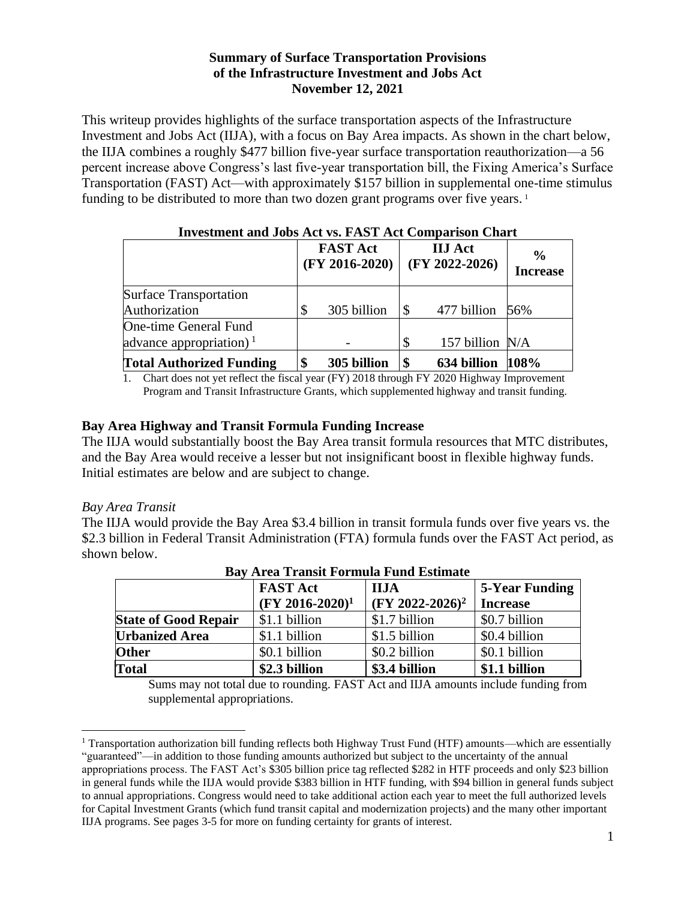#### **Summary of Surface Transportation Provisions of the Infrastructure Investment and Jobs Act November 12, 2021**

This writeup provides highlights of the surface transportation aspects of the Infrastructure Investment and Jobs Act (IIJA), with a focus on Bay Area impacts. As shown in the chart below, the IIJA combines a roughly \$477 billion five-year surface transportation reauthorization—a 56 percent increase above Congress's last five-year transportation bill, the Fixing America's Surface Transportation (FAST) Act—with approximately \$157 billion in supplemental one-time stimulus funding to be distributed to more than two dozen grant programs over five years.<sup>1</sup>

| Investment and Jobs Act vs. FAST Act Comparison Chart |  |                                     |    |                                    |                                  |
|-------------------------------------------------------|--|-------------------------------------|----|------------------------------------|----------------------------------|
|                                                       |  | <b>FAST Act</b><br>$(FY 2016-2020)$ |    | <b>IIJ</b> Act<br>$(FY 2022-2026)$ | $\frac{6}{9}$<br><b>Increase</b> |
| <b>Surface Transportation</b>                         |  |                                     |    |                                    |                                  |
| Authorization                                         |  | 305 billion                         |    | 477 billion                        | 56%                              |
| <b>One-time General Fund</b>                          |  |                                     |    |                                    |                                  |
| advance appropriation) <sup>1</sup>                   |  |                                     | \$ | 157 billion N/A                    |                                  |
| <b>Total Authorized Funding</b>                       |  | 305 billion                         |    | 634 billion                        | 108%                             |

# **Investment and Jobs Act vs. FAST Act Comparison Chart**

1. Chart does not yet reflect the fiscal year (FY) 2018 through FY 2020 Highway Improvement Program and Transit Infrastructure Grants, which supplemented highway and transit funding.

#### **Bay Area Highway and Transit Formula Funding Increase**

The IIJA would substantially boost the Bay Area transit formula resources that MTC distributes, and the Bay Area would receive a lesser but not insignificant boost in flexible highway funds. Initial estimates are below and are subject to change.

#### *Bay Area Transit*

The IIJA would provide the Bay Area \$3.4 billion in transit formula funds over five years vs. the \$2.3 billion in Federal Transit Administration (FTA) formula funds over the FAST Act period, as shown below.

| Day Arta Transit Formula Fund Estimate |                    |                             |                       |  |
|----------------------------------------|--------------------|-----------------------------|-----------------------|--|
|                                        | <b>FAST Act</b>    | <b>IIJA</b>                 | <b>5-Year Funding</b> |  |
|                                        | $(FY 2016-2020)^1$ | (FY 2022-2026) <sup>2</sup> | <b>Increase</b>       |  |
| <b>State of Good Repair</b>            | \$1.1 billion      | \$1.7 billion               | \$0.7 billion         |  |
| <b>Urbanized Area</b>                  | \$1.1 billion      | \$1.5 billion               | \$0.4 billion         |  |
| <b>Other</b>                           | \$0.1 billion      | \$0.2 billion               | \$0.1 billion         |  |
| <b>Total</b>                           | \$2.3 billion      | \$3.4 billion               | \$1.1 billion         |  |

|  |  | <b>Bay Area Transit Formula Fund Estimate</b> |
|--|--|-----------------------------------------------|
|  |  |                                               |

Sums may not total due to rounding. FAST Act and IIJA amounts include funding from supplemental appropriations.

 $1$  Transportation authorization bill funding reflects both Highway Trust Fund (HTF) amounts—which are essentially "guaranteed"—in addition to those funding amounts authorized but subject to the uncertainty of the annual appropriations process. The FAST Act's \$305 billion price tag reflected \$282 in HTF proceeds and only \$23 billion in general funds while the IIJA would provide \$383 billion in HTF funding, with \$94 billion in general funds subject to annual appropriations. Congress would need to take additional action each year to meet the full authorized levels for Capital Investment Grants (which fund transit capital and modernization projects) and the many other important IIJA programs. See pages 3-5 for more on funding certainty for grants of interest.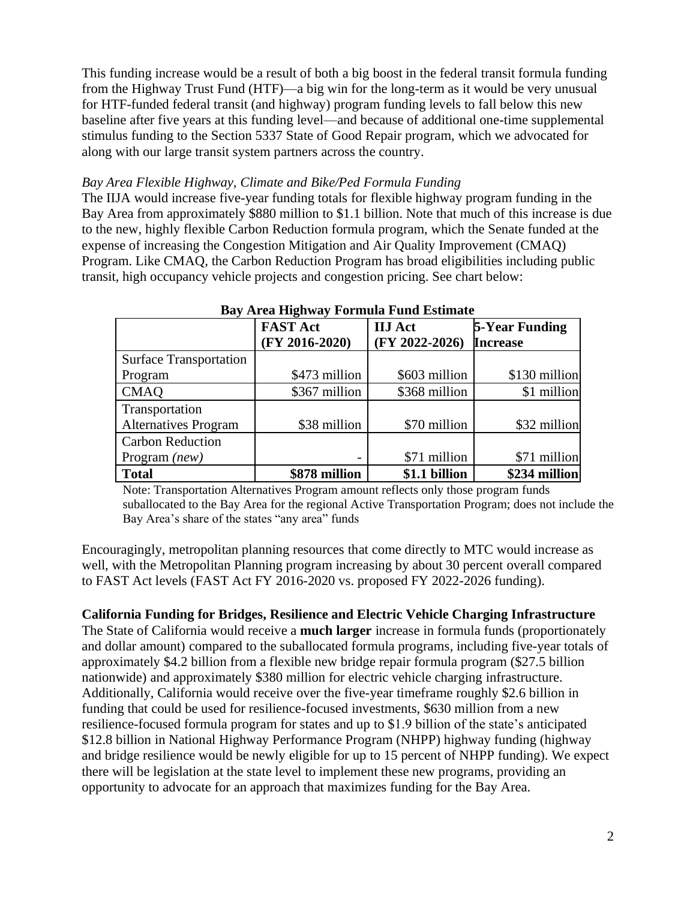This funding increase would be a result of both a big boost in the federal transit formula funding from the Highway Trust Fund (HTF)—a big win for the long-term as it would be very unusual for HTF-funded federal transit (and highway) program funding levels to fall below this new baseline after five years at this funding level—and because of additional one-time supplemental stimulus funding to the Section 5337 State of Good Repair program, which we advocated for along with our large transit system partners across the country.

### *Bay Area Flexible Highway, Climate and Bike/Ped Formula Funding*

The IIJA would increase five-year funding totals for flexible highway program funding in the Bay Area from approximately \$880 million to \$1.1 billion. Note that much of this increase is due to the new, highly flexible Carbon Reduction formula program, which the Senate funded at the expense of increasing the Congestion Mitigation and Air Quality Improvement (CMAQ) Program. Like CMAQ, the Carbon Reduction Program has broad eligibilities including public transit, high occupancy vehicle projects and congestion pricing. See chart below:

|                               | <b>FAST Act</b>  | <b>IIJ</b> Act   | <b>5-Year Funding</b> |
|-------------------------------|------------------|------------------|-----------------------|
|                               | $(FY 2016-2020)$ | $(FY 2022-2026)$ | <b>Increase</b>       |
| <b>Surface Transportation</b> |                  |                  |                       |
| Program                       | \$473 million    | \$603 million    | \$130 million         |
| <b>CMAQ</b>                   | \$367 million    | \$368 million    | \$1 million           |
| Transportation                |                  |                  |                       |
| <b>Alternatives Program</b>   | \$38 million     | \$70 million     | \$32 million          |
| <b>Carbon Reduction</b>       |                  |                  |                       |
| Program $(new)$               |                  | \$71 million     | \$71 million          |
| <b>Total</b>                  | \$878 million    | \$1.1 billion    | \$234 million         |

#### **Bay Area Highway Formula Fund Estimate**

Note: Transportation Alternatives Program amount reflects only those program funds suballocated to the Bay Area for the regional Active Transportation Program; does not include the Bay Area's share of the states "any area" funds

Encouragingly, metropolitan planning resources that come directly to MTC would increase as well, with the Metropolitan Planning program increasing by about 30 percent overall compared to FAST Act levels (FAST Act FY 2016-2020 vs. proposed FY 2022-2026 funding).

### **California Funding for Bridges, Resilience and Electric Vehicle Charging Infrastructure**

The State of California would receive a **much larger** increase in formula funds (proportionately and dollar amount) compared to the suballocated formula programs, including five-year totals of approximately \$4.2 billion from a flexible new bridge repair formula program (\$27.5 billion nationwide) and approximately \$380 million for electric vehicle charging infrastructure. Additionally, California would receive over the five-year timeframe roughly \$2.6 billion in funding that could be used for resilience-focused investments, \$630 million from a new resilience-focused formula program for states and up to \$1.9 billion of the state's anticipated \$12.8 billion in National Highway Performance Program (NHPP) highway funding (highway and bridge resilience would be newly eligible for up to 15 percent of NHPP funding). We expect there will be legislation at the state level to implement these new programs, providing an opportunity to advocate for an approach that maximizes funding for the Bay Area.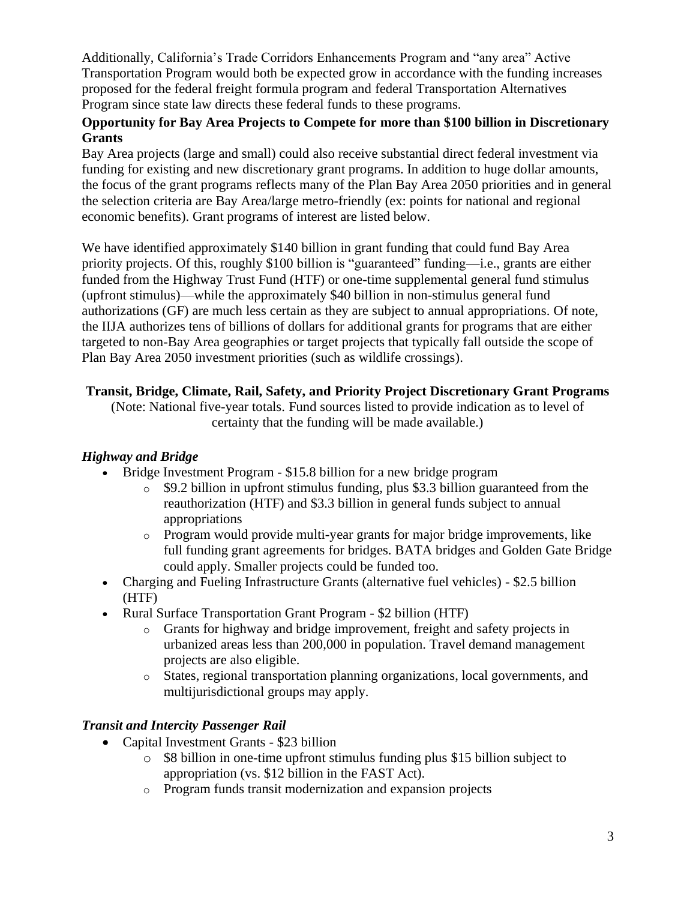Additionally, California's Trade Corridors Enhancements Program and "any area" Active Transportation Program would both be expected grow in accordance with the funding increases proposed for the federal freight formula program and federal Transportation Alternatives Program since state law directs these federal funds to these programs.

### **Opportunity for Bay Area Projects to Compete for more than \$100 billion in Discretionary Grants**

Bay Area projects (large and small) could also receive substantial direct federal investment via funding for existing and new discretionary grant programs. In addition to huge dollar amounts, the focus of the grant programs reflects many of the Plan Bay Area 2050 priorities and in general the selection criteria are Bay Area/large metro-friendly (ex: points for national and regional economic benefits). Grant programs of interest are listed below.

We have identified approximately \$140 billion in grant funding that could fund Bay Area priority projects. Of this, roughly \$100 billion is "guaranteed" funding—i.e., grants are either funded from the Highway Trust Fund (HTF) or one-time supplemental general fund stimulus (upfront stimulus)—while the approximately \$40 billion in non-stimulus general fund authorizations (GF) are much less certain as they are subject to annual appropriations. Of note, the IIJA authorizes tens of billions of dollars for additional grants for programs that are either targeted to non-Bay Area geographies or target projects that typically fall outside the scope of Plan Bay Area 2050 investment priorities (such as wildlife crossings).

### **Transit, Bridge, Climate, Rail, Safety, and Priority Project Discretionary Grant Programs**

(Note: National five-year totals. Fund sources listed to provide indication as to level of certainty that the funding will be made available.)

# *Highway and Bridge*

- Bridge Investment Program \$15.8 billion for a new bridge program
	- o \$9.2 billion in upfront stimulus funding, plus \$3.3 billion guaranteed from the reauthorization (HTF) and \$3.3 billion in general funds subject to annual appropriations
	- $\circ$  Program would provide multi-year grants for major bridge improvements, like full funding grant agreements for bridges. BATA bridges and Golden Gate Bridge could apply. Smaller projects could be funded too.
- Charging and Fueling Infrastructure Grants (alternative fuel vehicles) \$2.5 billion (HTF)
- Rural Surface Transportation Grant Program \$2 billion (HTF)
	- o Grants for highway and bridge improvement, freight and safety projects in urbanized areas less than 200,000 in population. Travel demand management projects are also eligible.
	- o States, regional transportation planning organizations, local governments, and multijurisdictional groups may apply.

# *Transit and Intercity Passenger Rail*

- Capital Investment Grants \$23 billion
	- o \$8 billion in one-time upfront stimulus funding plus \$15 billion subject to appropriation (vs. \$12 billion in the FAST Act).
	- o Program funds transit modernization and expansion projects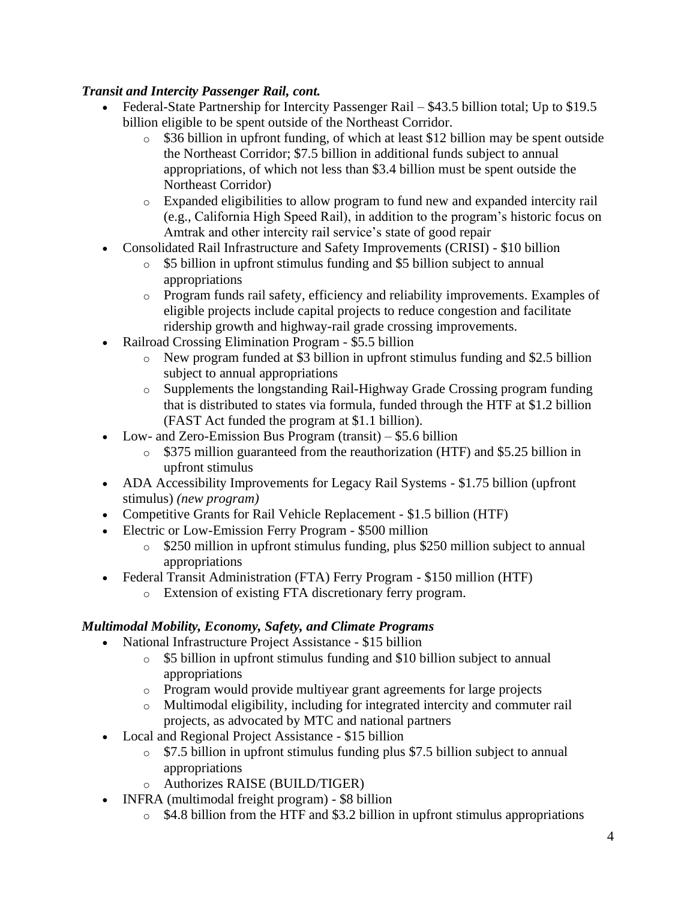# *Transit and Intercity Passenger Rail, cont.*

- Federal-State Partnership for Intercity Passenger Rail \$43.5 billion total; Up to \$19.5 billion eligible to be spent outside of the Northeast Corridor.
	- o \$36 billion in upfront funding, of which at least \$12 billion may be spent outside the Northeast Corridor; \$7.5 billion in additional funds subject to annual appropriations, of which not less than \$3.4 billion must be spent outside the Northeast Corridor)
	- o Expanded eligibilities to allow program to fund new and expanded intercity rail (e.g., California High Speed Rail), in addition to the program's historic focus on Amtrak and other intercity rail service's state of good repair
- Consolidated Rail Infrastructure and Safety Improvements (CRISI) \$10 billion
	- o \$5 billion in upfront stimulus funding and \$5 billion subject to annual appropriations
	- o Program funds rail safety, efficiency and reliability improvements. Examples of eligible projects include capital projects to reduce congestion and facilitate ridership growth and highway-rail grade crossing improvements.
- Railroad Crossing Elimination Program \$5.5 billion
	- o New program funded at \$3 billion in upfront stimulus funding and \$2.5 billion subject to annual appropriations
	- o Supplements the longstanding Rail-Highway Grade Crossing program funding that is distributed to states via formula, funded through the HTF at \$1.2 billion (FAST Act funded the program at \$1.1 billion).
- Low- and Zero-Emission Bus Program (transit) \$5.6 billion
	- o \$375 million guaranteed from the reauthorization (HTF) and \$5.25 billion in upfront stimulus
- ADA Accessibility Improvements for Legacy Rail Systems \$1.75 billion (upfront stimulus) *(new program)*
- Competitive Grants for Rail Vehicle Replacement \$1.5 billion (HTF)
- Electric or Low-Emission Ferry Program \$500 million
	- o \$250 million in upfront stimulus funding, plus \$250 million subject to annual appropriations
- Federal Transit Administration (FTA) Ferry Program \$150 million (HTF)
	- o Extension of existing FTA discretionary ferry program.

# *Multimodal Mobility, Economy, Safety, and Climate Programs*

- National Infrastructure Project Assistance \$15 billion
	- o \$5 billion in upfront stimulus funding and \$10 billion subject to annual appropriations
	- o Program would provide multiyear grant agreements for large projects
	- o Multimodal eligibility, including for integrated intercity and commuter rail projects, as advocated by MTC and national partners
- Local and Regional Project Assistance \$15 billion
	- o \$7.5 billion in upfront stimulus funding plus \$7.5 billion subject to annual appropriations
	- o Authorizes RAISE (BUILD/TIGER)
- INFRA (multimodal freight program) \$8 billion
	- $\circ$  \$4.8 billion from the HTF and \$3.2 billion in upfront stimulus appropriations